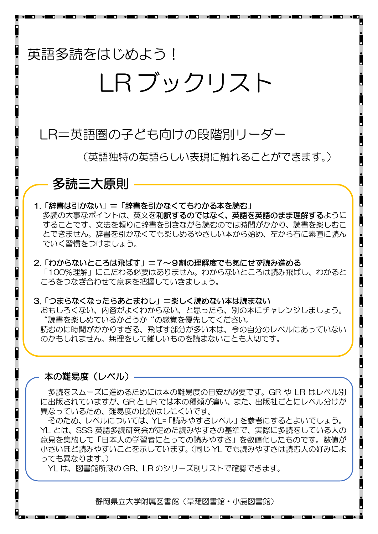## 英語多読をはじめよう!

# IR ブックリスト

## LR=英語圏の子ども向けの段階別リーダー

(英語独特の英語らしい表現に触れることができます。)

### 多読三大原則

#### 1.「辞書は引かない」=「辞書を引かなくてもわかる本を読む」

多読の大事なポイントは、英文を和訳するのではなく、英語を英語のまま理解するように することです。文法を頼りに辞書を引きながら読むのでは時間がかかり、読書を楽しむこ とできません。辞書を引かなくても楽しめるやさしい本から始め、左から右に素直に読ん でいく習慣をつけましょう。

#### 2.「わからないところは飛ばす」=7~9割の理解度でも気にせず読み進める 「100%理解」にこだわる必要はありません。わからないところは読み飛ばし、わかると ころをつなぎ合わせて意味を把握していきましょう。

#### 3.「つまらなくなったらあとまわし」=楽しく読めない本は読まない

おもしろくない、内容がよくわからない、と思ったら、別の本にチャレンジしましょう。 "読書を楽しめているかどうか"の感覚を優先してください。 読むのに時間がかかりすぎる、飛ばす部分が多い本は、今の自分のレベルにあっていない のかもしれません。無理をして難しいものを読まないことも大切です。

#### 本の難易度(レベル)

多読をスムーズに進めるためには本の難易度の目安が必要です。GR や LR はレベル別 に出版されていますが、GR と LR では本の種類が違い、また、出版社ごとにレベル分けが 異なっているため、難易度の比較はしにくいです。

そのため、レベルについては、YL=「読みやすさレベル」を参考にするとよいでしょう。 YL とは、SSS 英語多読研究会が定めた読みやすさの基準で、実際に多読をしている人の 意見を集約して「日本人の学習者にとっての読みやすさ」を数値化したものです。数値が 小さいほど読みやすいことを示しています。(同じ YL でも読みやすさは読む人の好みによ っても異なります。)

YL は、図書館所蔵の GR、LR のシリーズ別リストで確認できます。

静岡県立大学附属図書館(草薙図書館・小鹿図書館)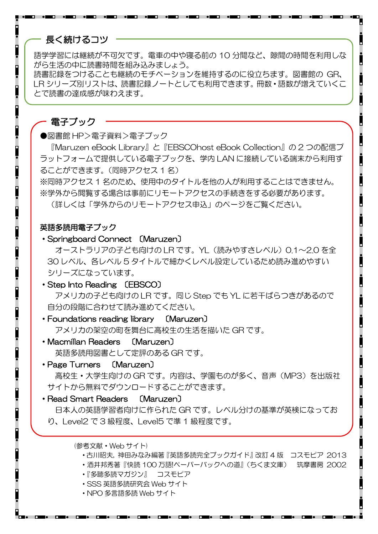#### 長く続けるコツ

語学学習には継続が不可欠です。電車の中や寝る前の 10 分間など、隙間の時間を利用しな がら生活の中に読書時間を組み込みましょう。

読書記録をつけることも継続のモチベーションを維持するのに役立ちます。図書館の GR、 LR シリーズ別リストは、読書記録ノートとしても利用できます。冊数・語数が増えていくこ とで読書の達成感が味わえます。

#### 電子ブック

●図書館 HP>電子資料>電子ブック

『Maruzen eBook Library』と『EBSCOhost eBook Collection』の 2 つの配信プ ラットフォームで提供している電子ブックを、学内 LAN に接続している端末から利用す ることができます。(同時アクセス 1 名)

※同時アクセス 1 名のため、使用中のタイトルを他の人が利用することはできません。 ※学外から閲覧する場合は事前にリモートアクセスの手続きをする必要があります。

(詳しくは「学外からのリモートアクセス申込」のページをご覧ください。

#### 英語多読用電子ブック

・Springboard Connect 〔Maruzen〕

オーストラリアの子ども向けの LR です。YL (読みやすさレベル) 0.1~2.0 を全 30 レベル、各レベル 5 タイトルで細かくレベル設定しているため読み進めやすい シリーズになっています。

・Step Into Reading 〔EBSCO〕 アメリカの子ども向けの LR です。同じ Step でも YL に若干ばらつきがあるので 自分の段階に合わせて読み進めてください。

- ・Foundations reading library 〔Maruzen〕 アメリカの架空の町を舞台に高校生の生活を描いた GR です。
- ・Macmillan Readers 〔Maruzen〕 英語多読用図書として定評のある GR です。
- ・Page Turners 〔Maruzen〕 高校生・大学生向けの GR です。内容は、学園ものが多く、音声(MP3)を出版社 サイトから無料でダウンロードすることができます。
- ・Read Smart Readers 〔Maruzen〕

 日本人の英語学習者向けに作られた GR です。レベル分けの基準が英検になってお り、Level2 で 3 級程度、Level5 で準 1 級程度です。

(参考文献・Web サイト)

- ・古川昭夫, 神田みなみ編著『英語多読完全ブックガイド』改訂 4 版 コスモピア 2013
- ・酒井邦秀著『快読 100 万語!ペーパーバックへの道』(ちくま文庫) 筑摩書房 2002
- ・『多聴多読マガジン』 コスモピア
- ・SSS 英語多読研究会 Web サイト
- ・NPO 多言語多読 Web サイト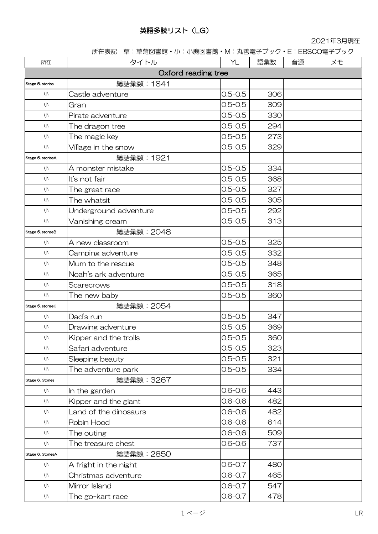#### 英語多読リスト(LG)

2021年3月現在

所在表記 草:草薙図書館・小:小鹿図書館・M:丸善電子ブック・E:EBSCO電子ブック

| 所在                | タイトル                  | YL          | 語彙数 | 音源 | メモ |
|-------------------|-----------------------|-------------|-----|----|----|
|                   | Oxford reading tree   |             |     |    |    |
| Stage 5, stories  | 総語彙数: 1841            |             |     |    |    |
| 小                 | Castle adventure      | $0.5 - 0.5$ | 306 |    |    |
| 小                 | Gran                  | $0.5 - 0.5$ | 309 |    |    |
| 小                 | Pirate adventure      | $0.5 - 0.5$ | 330 |    |    |
| 小                 | The dragon tree       | $0.5 - 0.5$ | 294 |    |    |
| 小                 | The magic key         | $0.5 - 0.5$ | 273 |    |    |
| 小                 | Village in the snow   | $0.5 - 0.5$ | 329 |    |    |
| Stage 5, storiesA | 総語彙数: 1921            |             |     |    |    |
| 小                 | A monster mistake     | $0.5 - 0.5$ | 334 |    |    |
| 小                 | It's not fair         | $0.5 - 0.5$ | 368 |    |    |
| 小                 | The great race        | $0.5 - 0.5$ | 327 |    |    |
| 小                 | The whatsit           | $0.5 - 0.5$ | 305 |    |    |
| 小                 | Underground adventure | $0.5 - 0.5$ | 292 |    |    |
| 小                 | Vanishing cream       | $0.5 - 0.5$ | 313 |    |    |
| Stage 5, storiesB | <b>総語彙数: 2048</b>     |             |     |    |    |
| 小                 | A new classroom       | $0.5 - 0.5$ | 325 |    |    |
| 小                 | Camping adventure     | $0.5 - 0.5$ | 332 |    |    |
| 小                 | Mum to the rescue     | $0.5 - 0.5$ | 348 |    |    |
| 小                 | Noah's ark adventure  | $0.5 - 0.5$ | 365 |    |    |
| 小                 | Scarecrows            | $0.5 - 0.5$ | 318 |    |    |
| 小                 | The new baby          | $0.5 - 0.5$ | 360 |    |    |
| Stage 5, storiesC | 総語彙数: 2054            |             |     |    |    |
| 小                 | Dad's run             | $0.5 - 0.5$ | 347 |    |    |
| 小                 | Drawing adventure     | $0.5 - 0.5$ | 369 |    |    |
| 小                 | Kipper and the trolls | $0.5 - 0.5$ | 360 |    |    |
| 小                 | Safari adventure      | $0.5 - 0.5$ | 323 |    |    |
| 小                 | Sleeping beauty       | $0.5 - 0.5$ | 321 |    |    |
| 小                 | The adventure park    | $0.5 - 0.5$ | 334 |    |    |
| Stage 6, Stories  | 総語彙数:3267             |             |     |    |    |
| 小                 | In the garden         | $0.6 - 0.6$ | 443 |    |    |
| 小                 | Kipper and the giant  | $0.6 - 0.6$ | 482 |    |    |
| 小                 | Land of the dinosaurs | $0.6 - 0.6$ | 482 |    |    |
| 小                 | Robin Hood            | $0.6 - 0.6$ | 614 |    |    |
| 小                 | The outing            | $0.6 - 0.6$ | 509 |    |    |
| 小                 | The treasure chest    | $0.6 - 0.6$ | 737 |    |    |
| Stage 6, StoriesA | 総語彙数:2850             |             |     |    |    |
| 小                 | A fright in the night | $0.6 - 0.7$ | 480 |    |    |
| 小                 | Christmas adventure   | $0.6 - 0.7$ | 465 |    |    |
| 小                 | Mirror Island         | $0.6 - 0.7$ | 547 |    |    |
| 小                 | The go-kart race      | $0.6 - 0.7$ | 478 |    |    |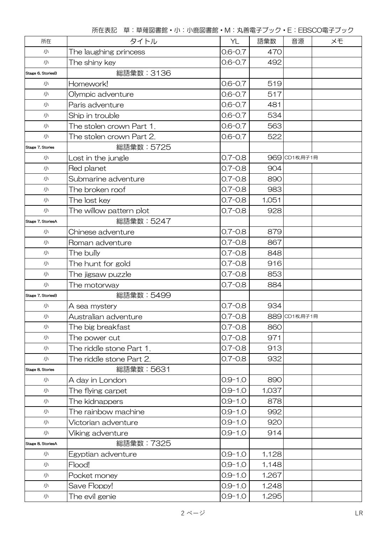| 所在                | タイトル                     | YL          | 語彙数   | 音源            | メモ |
|-------------------|--------------------------|-------------|-------|---------------|----|
| 小                 | The laughing princess    | $0.6 - 0.7$ | 470   |               |    |
| 小                 | The shiny key            | $0.6 - 0.7$ | 492   |               |    |
| Stage 6, StoriesB | <b>総語彙数: 3136</b>        |             |       |               |    |
| 小                 | Homework!                | $0.6 - 0.7$ | 519   |               |    |
| 小                 | Olympic adventure        | $0.6 - 0.7$ | 517   |               |    |
| 小                 | Paris adventure          | $0.6 - 0.7$ | 481   |               |    |
| 小                 | Ship in trouble          | $0.6 - 0.7$ | 534   |               |    |
| 小                 | The stolen crown Part 1. | $0.6 - 0.7$ | 563   |               |    |
| 小                 | The stolen crown Part 2. | $0.6 - 0.7$ | 522   |               |    |
| Stage 7, Stories  | 総語彙数: 5725               |             |       |               |    |
| 小                 | Lost in the jungle       | $0.7 - 0.8$ |       | 969 CD1枚,冊子1冊 |    |
| 小                 | Red planet               | $0.7 - 0.8$ | 904   |               |    |
| 小                 | Submarine adventure      | $0.7 - 0.8$ | 890   |               |    |
| 小                 | The broken roof          | $0.7 - 0.8$ | 983   |               |    |
| 小                 | The lost key             | $0.7 - 0.8$ | 1,051 |               |    |
| 小                 | The willow pattern plot  | $0.7 - 0.8$ | 928   |               |    |
| Stage 7, StoriesA | <b>総語彙数:5247</b>         |             |       |               |    |
| 小                 | Chinese adventure        | $0.7 - 0.8$ | 879   |               |    |
| 小                 | Roman adventure          | $0.7 - 0.8$ | 867   |               |    |
| 小                 | The bully                | $0.7 - 0.8$ | 848   |               |    |
| 小                 | The hunt for gold        | $0.7 - 0.8$ | 916   |               |    |
| 小                 | The jigsaw puzzle        | $0.7 - 0.8$ | 853   |               |    |
| 小                 | The motorway             | $0.7 - 0.8$ | 884   |               |    |
| Stage 7, StoriesB | 総語彙数: 5499               |             |       |               |    |
| 小                 | A sea mystery            | $0.7 - 0.8$ | 934   |               |    |
| 小                 | Australian adventure     | $0.7 - 0.8$ |       | 889 CD1枚冊子1冊  |    |
| 小                 | The big breakfast        | $0.7 - 0.8$ | 860   |               |    |
| 小                 | The power cut            | $0.7 - 0.8$ | 971   |               |    |
| 小                 | The riddle stone Part 1. | $0.7 - 0.8$ | 913   |               |    |
| 小                 | The riddle stone Part 2. | $0.7 - 0.8$ | 932   |               |    |
| Stage 8, Stories  | <b>総語彙数:5631</b>         |             |       |               |    |
| 小                 | A day in London          | $0.9 - 1.0$ | 890   |               |    |
| 小                 | The flying carpet        | $0.9 - 1.0$ | 1,037 |               |    |
| 小                 | The kidnappers           | $0.9 - 1.0$ | 878   |               |    |
| 小                 | The rainbow machine      | $0.9 - 1.0$ | 992   |               |    |
| 小                 | Victorian adventure      | $0.9 - 1.0$ | 920   |               |    |
| 小                 | Viking adventure         | $0.9 - 1.0$ | 914   |               |    |
| Stage 8, StoriesA | 総語彙数: 7325               |             |       |               |    |
| 小                 | Egyptian adventure       | $0.9 - 1.0$ | 1,128 |               |    |
| 小                 | Flood!                   | $O.9 - 1.0$ | 1,148 |               |    |
| 小                 | Pocket money             | $0.9 - 1.0$ | 1,267 |               |    |
| 小                 | Save Floppy!             | $O.9 - 1.0$ | 1,248 |               |    |
| 小                 | The evil genie           | $0.9 - 1.0$ | 1,295 |               |    |

所在表記 草:草薙図書館・小:小鹿図書館・M:丸善電子ブック・E:EBSCO電子ブック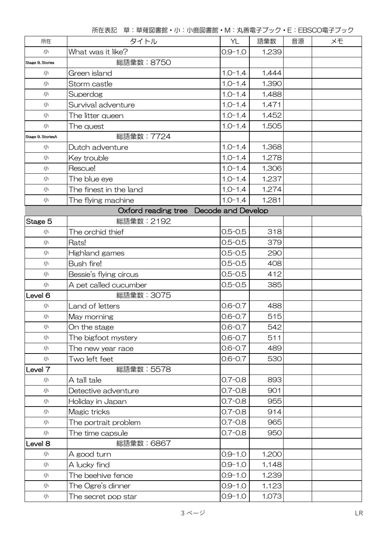| 所在                 | タイトル                   | YL                 | 語彙数   | 音源 | メモ |
|--------------------|------------------------|--------------------|-------|----|----|
| 小                  | What was it like?      | $0.9 - 1.0$        | 1,239 |    |    |
| Stage 9, Stories   | 総語彙数:8750              |                    |       |    |    |
| 小                  | Green island           | $1.0 - 1.4$        | 1,444 |    |    |
| 小                  | Storm castle           | $1.0 - 1.4$        | 1,390 |    |    |
| 小                  | Superdog               | $1.0 - 1.4$        | 1,488 |    |    |
| 小                  | Survival adventure     | $1.0 - 1.4$        | 1,471 |    |    |
| 小                  | The litter queen       | $1.0 - 1.4$        | 1,452 |    |    |
| 小                  | The quest              | $1.0 - 1.4$        | 1,505 |    |    |
| Stage 9, StoriesA  | <b>総語彙数: 7724</b>      |                    |       |    |    |
| 小                  | Dutch adventure        | $1.0 - 1.4$        | 1,368 |    |    |
| 小                  | Key trouble            | $1.0 - 1.4$        | 1,278 |    |    |
| 小                  | Rescue!                | $1.0 - 1.4$        | 1,306 |    |    |
| 小                  | The blue eye           | $1.0 - 1.4$        | 1,237 |    |    |
| 小                  | The finest in the land | $1.0 - 1.4$        | 1,274 |    |    |
| 小                  | The flying machine     | $1.0 - 1.4$        | 1,281 |    |    |
|                    | Oxford reading tree    | Decode and Develop |       |    |    |
| Stage 5            | 総語彙数:2192              |                    |       |    |    |
| 小                  | The orchid thief       | $0.5 - 0.5$        | 318   |    |    |
| 小                  | Rats!                  | $0.5 - 0.5$        | 379   |    |    |
| 小                  | Highland games         | $0.5 - 0.5$        | 290   |    |    |
| 小                  | <b>Bush fire!</b>      | $0.5 - 0.5$        | 408   |    |    |
| 小                  | Bessie's flying circus | $0.5 - 0.5$        | 412   |    |    |
| 小                  | A pet called cucumber  | $0.5 - 0.5$        | 385   |    |    |
| Level <sub>6</sub> | 総語彙数: 3075             |                    |       |    |    |
| 小                  | Land of letters        | $0.6 - 0.7$        | 488   |    |    |
| 小                  | May morning            | $0.6 - 0.7$        | 515   |    |    |
| 小                  | On the stage           | $0.6 - 0.7$        | 542   |    |    |
| 小                  | The bigfoot mystery    | $0.6 - 0.7$        | 511   |    |    |
| 小                  | The new year race      | $0.6 - 0.7$        | 489   |    |    |
| 小                  | Two left feet          | $0.6 - 0.7$        | 530   |    |    |
| Level 7            | 総語彙数: 5578             |                    |       |    |    |
| 小                  | A tall tale            | $0.7 - 0.8$        | 893   |    |    |
| 小                  | Detective adventure    | $0.7 - 0.8$        | 901   |    |    |
| 小                  | Holiday in Japan       | $0.7 - 0.8$        | 955   |    |    |
| 小                  | Magic tricks           | $0.7 - 0.8$        | 914   |    |    |
| 小                  | The portrait problem   | $0.7 - 0.8$        | 965   |    |    |
| 小                  | The time capsule       | $0.7 - 0.8$        | 950   |    |    |
| Level 8            | 総語彙数: 6867             |                    |       |    |    |
| 小                  | A good turn            | $0.9 - 1.0$        | 1,200 |    |    |
| 小                  | A lucky find           | $0.9 - 1.0$        | 1,148 |    |    |
| 小                  | The beehive fence      | $0.9 - 1.0$        | 1,239 |    |    |
| 小                  | The Ogre's dinner      | $0.9 - 1.0$        | 1,123 |    |    |
| 小                  | The secret pop star    | $0.9 - 1.0$        | 1,073 |    |    |

所在表記 草:草薙図書館・小:小鹿図書館・M:丸善電子ブック・E:EBSCO電子ブック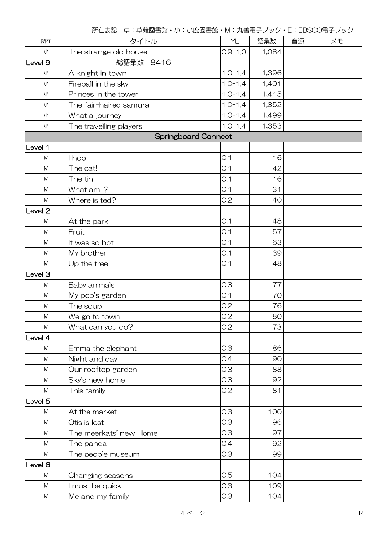|                    |                            |             | - ^ " ) 一 二 コ フ フ フ フ |    |    |
|--------------------|----------------------------|-------------|-----------------------|----|----|
| 所在                 | タイトル                       | YL          | 語彙数                   | 音源 | メモ |
| 小                  | The strange old house      | $0.9 - 1.0$ | 1,084                 |    |    |
| Level <sub>9</sub> | 総語彙数: 8416                 |             |                       |    |    |
| 小                  | A knight in town           | $1.0 - 1.4$ | 1,396                 |    |    |
| 小                  | Fireball in the sky        | $1.0 - 1.4$ | 1,401                 |    |    |
| 小                  | Princes in the tower       | $1.0 - 1.4$ | 1,415                 |    |    |
| 小                  | The fair-haired samurai    | $1.0 - 1.4$ | 1,352                 |    |    |
| 小                  | What a journey             | $1.0 - 1.4$ | 1,499                 |    |    |
| 小                  | The travelling players     | $1.0 - 1.4$ | 1,353                 |    |    |
|                    | <b>Springboard Connect</b> |             |                       |    |    |
| Level 1            |                            |             |                       |    |    |
| M                  | I hop                      | O.1         | 16                    |    |    |
| ${\sf M}$          | The cat!                   | 0.1         | 42                    |    |    |
| ${\sf M}$          | The tin                    | O.1         | 16                    |    |    |
| M                  | What am I?                 | 0.1         | 31                    |    |    |
| ${\sf M}$          | Where is ted?              | 0.2         | 40                    |    |    |
| Level <sub>2</sub> |                            |             |                       |    |    |
| ${\sf M}$          | At the park                | O.1         | 48                    |    |    |
| M                  | Fruit                      | 0.1         | 57                    |    |    |
| ${\sf M}$          | It was so hot              | 0.1         | 63                    |    |    |
| ${\sf M}$          | My brother                 | O.1         | 39                    |    |    |
| M                  | Up the tree                | 0.1         | 48                    |    |    |
| Level 3            |                            |             |                       |    |    |
| M                  | Baby animals               | 0.3         | 77                    |    |    |
| ${\sf M}$          | My pop's garden            | 0.1         | 70                    |    |    |
| M                  | The soup                   | 0.2         | 76                    |    |    |
| M                  | We go to town              | 0.2         | 80                    |    |    |
| M                  | What can you do?           | 0.2         | 73                    |    |    |
| Level 4            |                            |             |                       |    |    |
| M                  | Emma the elephant          | 0.3         | 86                    |    |    |
| ${\sf M}$          | Night and day              | 0.4         | 90                    |    |    |
| M                  | Our rooftop garden         | 0.3         | 88                    |    |    |
| M                  | Sky's new home             | 0.3         | 92                    |    |    |
| M                  | This family                | 0.2         | 81                    |    |    |
| Level <sub>5</sub> |                            |             |                       |    |    |
| M                  | At the market              | 0.3         | 100                   |    |    |
| M                  | Otis is lost               | 0.3         | 96                    |    |    |
| M                  | The meerkats' new Home     | 0.3         | 97                    |    |    |
| M                  | The panda                  | 0.4         | 92                    |    |    |
| M                  | The people museum          | 0.3         | 99                    |    |    |
| Level 6            |                            |             |                       |    |    |
| M                  | Changing seasons           | 0.5         | 104                   |    |    |
| M                  | I must be quick            | 0.3         | 109                   |    |    |
| M                  | Me and my family           | 0.3         | 104                   |    |    |

所在表記 草:草薙図書館・小:小鹿図書館・M:丸善電子ブック・E:EBSCO電子ブック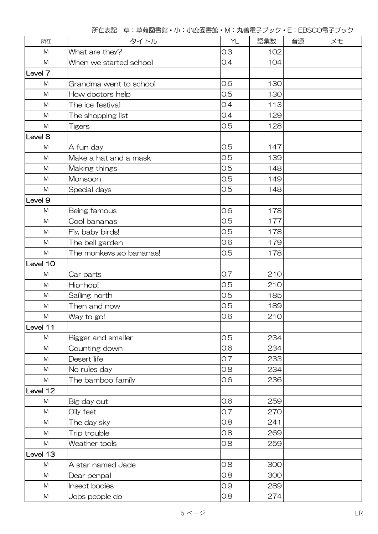| 所在        | タイトル                    | YL  | 語彙数 | 音源 | メモ |
|-----------|-------------------------|-----|-----|----|----|
| ${\sf M}$ | What are they?          | 0.3 | 102 |    |    |
| M         | When we started school  | 0.4 | 104 |    |    |
| Level 7   |                         |     |     |    |    |
| ${\sf M}$ | Grandma went to school  | 0.6 | 130 |    |    |
| ${\sf M}$ | How doctors help        | 0.5 | 130 |    |    |
| M         | The ice festival        | 0.4 | 113 |    |    |
| M         | The shopping list       | 0.4 | 129 |    |    |
| ${\sf M}$ | Tigers                  | 0.5 | 128 |    |    |
| Level 8   |                         |     |     |    |    |
| ${\sf M}$ | A fun day               | 0.5 | 147 |    |    |
| M         | Make a hat and a mask   | 0.5 | 139 |    |    |
| ${\sf M}$ | Making things           | 0.5 | 148 |    |    |
| ${\sf M}$ | Monsoon                 | 0.5 | 149 |    |    |
| ${\sf M}$ | Special days            | 0.5 | 148 |    |    |
| Level 9   |                         |     |     |    |    |
| M         | Being famous            | 0.6 | 178 |    |    |
| ${\sf M}$ | Cool bananas            | 0.5 | 177 |    |    |
| M         | Fly, baby birds!        | 0.5 | 178 |    |    |
| M         | The bell garden         | 0.6 | 179 |    |    |
| M         | The monkeys go bananas! | 0.5 | 178 |    |    |
| Level 10  |                         |     |     |    |    |
| ${\sf M}$ | Car parts               | 0.7 | 210 |    |    |
| ${\sf M}$ | Hip-hop!                | 0.5 | 210 |    |    |
| ${\sf M}$ | Sailing north           | 0.5 | 185 |    |    |
| M         | Then and now            | 0.5 | 189 |    |    |
| M         | Way to go!              | 0.6 | 210 |    |    |
| Level 11  |                         |     |     |    |    |
| M         | Bigger and smaller      | 0.5 | 234 |    |    |
| ${\sf M}$ | Counting down           | 0.6 | 234 |    |    |
| M         | Desert life             | 0.7 | 233 |    |    |
| ${\sf M}$ | No rules day            | 0.8 | 234 |    |    |
| ${\sf M}$ | The bamboo family       | 0.6 | 236 |    |    |
| Level 12  |                         |     |     |    |    |
| M         | Big day out             | 0.6 | 259 |    |    |
| M         | Oily feet               | 0.7 | 270 |    |    |
| M         | The day sky             | 0.8 | 241 |    |    |
| ${\sf M}$ | Trip trouble            | 0.8 | 269 |    |    |
| M         | Weather tools           | 0.8 | 259 |    |    |
| Level 13  |                         |     |     |    |    |
| ${\sf M}$ | A star named Jade       | 0.8 | 300 |    |    |
| M         | Dear penpal             | 0.8 | 300 |    |    |
| ${\sf M}$ | Insect bodies           | 0.9 | 289 |    |    |
| M         | Jobs people do          | 0.8 | 274 |    |    |

所在表記 草:草薙図書館・小:小鹿図書館・M:丸善電子ブック・E:EBSCO電子ブック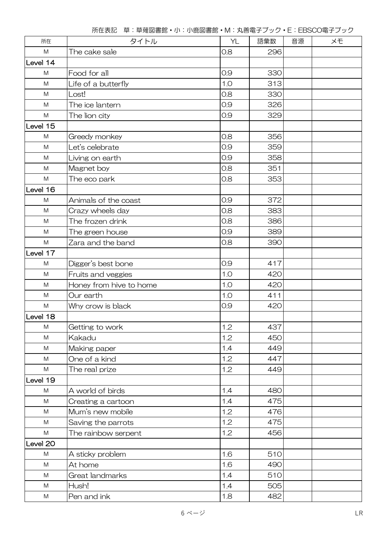| 所在        | タイトル                    | YL  | 語彙数 | 音源 | ×Đ |
|-----------|-------------------------|-----|-----|----|----|
| ${\sf M}$ | The cake sale           | 0.8 | 296 |    |    |
| Level 14  |                         |     |     |    |    |
| ${\sf M}$ | Food for all            | 0.9 | 330 |    |    |
| M         | Life of a butterfly     | 1.0 | 313 |    |    |
| ${\sf M}$ | Lost!                   | 0.8 | 330 |    |    |
| M         | The ice lantern         | 0.9 | 326 |    |    |
| ${\sf M}$ | The lion city           | 0.9 | 329 |    |    |
| Level 15  |                         |     |     |    |    |
| M         | Greedy monkey           | 0.8 | 356 |    |    |
| ${\sf M}$ | Let's celebrate         | 0.9 | 359 |    |    |
| M         | Living on earth         | 0.9 | 358 |    |    |
| ${\sf M}$ | Magnet boy              | 0.8 | 351 |    |    |
| M         | The eco park            | 0.8 | 353 |    |    |
| Level 16  |                         |     |     |    |    |
| ${\sf M}$ | Animals of the coast    | 0.9 | 372 |    |    |
| M         | Crazy wheels day        | 0.8 | 383 |    |    |
| M         | The frozen drink        | 0.8 | 386 |    |    |
| ${\sf M}$ | The green house         | 0.9 | 389 |    |    |
| ${\sf M}$ | Zara and the band       | 0.8 | 390 |    |    |
| Level 17  |                         |     |     |    |    |
| ${\sf M}$ | Digger's best bone      | 0.9 | 417 |    |    |
| ${\sf M}$ | Fruits and veggies      | 1.0 | 420 |    |    |
| M         | Honey from hive to home | 1.0 | 420 |    |    |
| M         | Our earth               | 1.0 | 411 |    |    |
| M         | Why crow is black       | 0.9 | 420 |    |    |
| Level 18  |                         |     |     |    |    |
| ${\sf M}$ | Getting to work         | 1.2 | 437 |    |    |
| ${\sf M}$ | Kakadu                  | 1.2 | 450 |    |    |
| ${\sf M}$ | Making paper            | 1.4 | 449 |    |    |
| ${\sf M}$ | One of a kind           | 1.2 | 447 |    |    |
| M         | The real prize          | 1.2 | 449 |    |    |
| Level 19  |                         |     |     |    |    |
| ${\sf M}$ | A world of birds        | 1.4 | 480 |    |    |
| ${\sf M}$ | Creating a cartoon      | 1.4 | 475 |    |    |
| ${\sf M}$ | Mum's new mobile        | 1.2 | 476 |    |    |
| ${\sf M}$ | Saving the parrots      | 1.2 | 475 |    |    |
| M         | The rainbow serpent     | 1.2 | 456 |    |    |
| Level 20  |                         |     |     |    |    |
| M         | A sticky problem        | 1.6 | 510 |    |    |
| ${\sf M}$ | At home                 | 1.6 | 490 |    |    |
| ${\sf M}$ | Great landmarks         | 1.4 | 510 |    |    |
| ${\sf M}$ | Hush!                   | 1.4 | 505 |    |    |
| M         | Pen and ink             | 1.8 | 482 |    |    |

所在表記 草:草薙図書館・小:小鹿図書館・M:丸善電子ブック・E:EBSCO電子ブック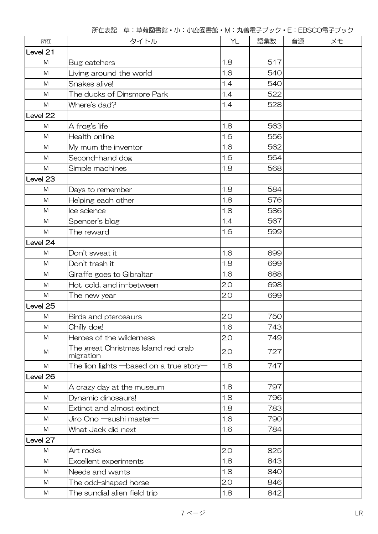| 所在        | タイトル                                             | YL  | 語彙数 | 音源 | ×Đ |
|-----------|--------------------------------------------------|-----|-----|----|----|
| Level 21  |                                                  |     |     |    |    |
| M         | Bug catchers                                     | 1.8 | 517 |    |    |
| ${\sf M}$ | Living around the world                          | 1.6 | 540 |    |    |
| M         | Snakes alive!                                    | 1.4 | 540 |    |    |
| M         | The ducks of Dinsmore Park                       | 1.4 | 522 |    |    |
| M         | Where's dad?                                     | 1.4 | 528 |    |    |
| Level 22  |                                                  |     |     |    |    |
| M         | A frog's life                                    | 1.8 | 563 |    |    |
| M         | Health online                                    | 1.6 | 556 |    |    |
| M         | My mum the inventor                              | 1.6 | 562 |    |    |
| M         | Second-hand dog                                  | 1.6 | 564 |    |    |
| ${\sf M}$ | Simple machines                                  | 1.8 | 568 |    |    |
| Level 23  |                                                  |     |     |    |    |
| M         | Days to remember                                 | 1.8 | 584 |    |    |
| M         | Helping each other                               | 1.8 | 576 |    |    |
| M         | Ice science                                      | 1.8 | 586 |    |    |
| M         | Spencer's blog                                   | 1.4 | 567 |    |    |
| M         | The reward                                       | 1.6 | 599 |    |    |
| Level 24  |                                                  |     |     |    |    |
| M         | Don't sweat it                                   | 1.6 | 699 |    |    |
| M         | Don't trash it                                   | 1.8 | 699 |    |    |
| M         | Giraffe goes to Gibraltar                        | 1.6 | 688 |    |    |
| M         | Hot, cold, and in-between                        | 2.0 | 698 |    |    |
| M         | The new year                                     | 2.0 | 699 |    |    |
| Level 25  |                                                  |     |     |    |    |
| M         | Birds and pterosaurs                             | 2.0 | 750 |    |    |
| ${\sf M}$ | Chilly dog!                                      | 1.6 | 743 |    |    |
| M         | Heroes of the wilderness                         | 2.0 | 749 |    |    |
| M         | The great Christmas Island red crab<br>migration | 2.0 | 727 |    |    |
| ${\sf M}$ | The lion lights $-$ based on a true story $-$    | 1.8 | 747 |    |    |
| Level 26  |                                                  |     |     |    |    |
| M         | A crazy day at the museum                        | 1.8 | 797 |    |    |
| M         | Dynamic dinosaurs!                               | 1.8 | 796 |    |    |
| M         | Extinct and almost extinct                       | 1.8 | 783 |    |    |
| M         | Jiro Ono —sushi master—                          | 1.6 | 790 |    |    |
| M         | What Jack did next                               | 1.6 | 784 |    |    |
| Level 27  |                                                  |     |     |    |    |
| M         | Art rocks                                        | 2.0 | 825 |    |    |
| M         | Excellent experiments                            | 1.8 | 843 |    |    |
| M         | Needs and wants                                  | 1.8 | 840 |    |    |
| M         | The odd-shaped horse                             | 2.0 | 846 |    |    |
| M         | The sundial alien field trip                     | 1.8 | 842 |    |    |

所在表記 草:草薙図書館・小:小鹿図書館・M:丸善電子ブック・E:EBSCO電子ブック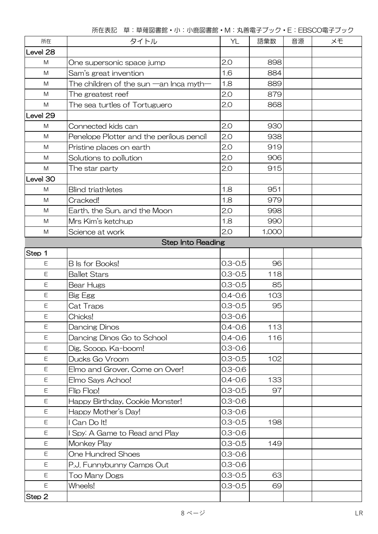| 所在          | タイトル                                         | YL          | 語彙数   | 音源 | XĐ |
|-------------|----------------------------------------------|-------------|-------|----|----|
| Level 28    |                                              |             |       |    |    |
| M           | One supersonic space jump                    | 2.0         | 898   |    |    |
| M           | Sam's great invention                        | 1.6         | 884   |    |    |
| M           | The children of the sun $-$ an Inca myth $-$ | 1.8         | 889   |    |    |
| M           | The greatest reef                            | 2.0         | 879   |    |    |
| ${\sf M}$   | The sea turtles of Tortuguero                | 2.0         | 868   |    |    |
| Level 29    |                                              |             |       |    |    |
| M           | Connected kids can                           | 2.0         | 930   |    |    |
| M           | Penelope Plotter and the perilous pencil     | 2.0         | 938   |    |    |
| M           | Pristine places on earth                     | 2.0         | 919   |    |    |
| M           | Solutions to pollution                       | 2.0         | 906   |    |    |
| M           | The star party                               | 2.0         | 915   |    |    |
| Level 30    |                                              |             |       |    |    |
| M           | <b>Blind triathletes</b>                     | 1.8         | 951   |    |    |
| M           | Cracked!                                     | 1.8         | 979   |    |    |
| M           | Earth, the Sun, and the Moon                 | 2.0         | 998   |    |    |
| M           | Mrs Kim's ketchup                            | 1.8         | 990   |    |    |
| M           | Science at work                              | 2.0         | 1,000 |    |    |
|             | <b>Step Into Reading</b>                     |             |       |    |    |
| Step 1      |                                              |             |       |    |    |
| E           | <b>B</b> Is for Books!                       | $0.3 - 0.5$ | 96    |    |    |
| Ε           | <b>Ballet Stars</b>                          | $0.3 - 0.5$ | 118   |    |    |
| $\mathsf E$ | Bear Hugs                                    | $0.3 - 0.5$ | 85    |    |    |
| E           | <b>Big Egg</b>                               | $0.4 - 0.6$ | 103   |    |    |
| Ε           | Cat Traps                                    | $0.3 - 0.5$ | 95    |    |    |
| E           | Chicks!                                      | $0.3 - 0.6$ |       |    |    |
| Ε           | Dancing Dinos                                | $0.4 - 0.6$ | 113   |    |    |
| E           | Dancing Dinos Go to School                   | $0.4 - 0.6$ | 116   |    |    |
| Ε           | Dig, Scoop, Ka-boom!                         | $0.3 - 0.6$ |       |    |    |
| Ε           | Ducks Go Vroom                               | $0.3 - 0.5$ | 102   |    |    |
| Ε           | Elmo and Grover, Come on Over!               | $0.3 - 0.6$ |       |    |    |
| $\mathsf E$ | Elmo Says Achoo!                             | $0.4 - 0.6$ | 133   |    |    |
| $\mathsf E$ | Flip Flop!                                   | $0.3 - 0.5$ | 97    |    |    |
| Ε           | Happy Birthday, Cookie Monster!              | $0.3 - 0.6$ |       |    |    |
| $\mathsf E$ | Happy Mother's Day!                          | $0.3 - 0.6$ |       |    |    |
| E           | I Can Do It!                                 | $0.3 - 0.5$ | 198   |    |    |
| E           | I Spy: A Game to Read and Play               | $0.3 - 0.6$ |       |    |    |
| Ε           | Monkey Play                                  | $0.3 - 0.5$ | 149   |    |    |
| Ε           | <b>One Hundred Shoes</b>                     | $0.3 - 0.6$ |       |    |    |
| Ε           | P.J. Funnybunny Camps Out                    | $0.3 - 0.6$ |       |    |    |
| $\mathsf E$ | <b>Too Many Dogs</b>                         | $0.3 - 0.5$ | 63    |    |    |
| E           | Wheels!                                      | $0.3 - 0.5$ | 69    |    |    |
| Step 2      |                                              |             |       |    |    |

所在表記 草:草薙図書館・小:小鹿図書館・M:丸善電子ブック・E:EBSCO電子ブック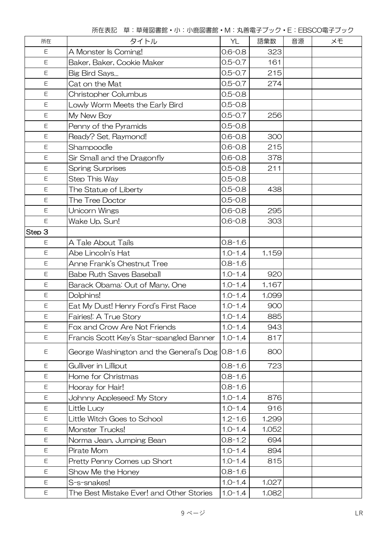| 所在          | タイトル                                     | YL          | 語彙数   | 音源 | XĐ |
|-------------|------------------------------------------|-------------|-------|----|----|
| $\mathsf E$ | A Monster Is Coming!                     | $0.6 - 0.8$ | 323   |    |    |
| E           | Baker, Baker, Cookie Maker               | $0.5 - 0.7$ | 161   |    |    |
| E           | Big Bird Says                            | $0.5 - 0.7$ | 215   |    |    |
| E           | Cat on the Mat                           | $0.5 - 0.7$ | 274   |    |    |
| $\mathsf E$ | <b>Christopher Columbus</b>              | $0.5 - 0.8$ |       |    |    |
| Ε           | Lowly Worm Meets the Early Bird          | $0.5 - 0.8$ |       |    |    |
| E           | My New Boy                               | $0.5 - 0.7$ | 256   |    |    |
| E           | Penny of the Pyramids                    | $0.5 - 0.8$ |       |    |    |
| E           | Ready? Set. Raymond!                     | $0.6 - 0.8$ | 300   |    |    |
| $\mathsf E$ | Shampoodle                               | $0.6 - 0.8$ | 215   |    |    |
| Ε           | Sir Small and the Dragonfly              | $0.6 - 0.8$ | 378   |    |    |
| $\mathsf E$ | <b>Spring Surprises</b>                  | $0.5 - 0.8$ | 211   |    |    |
| Ε           | Step This Way                            | $0.5 - 0.8$ |       |    |    |
| $\mathsf E$ | The Statue of Liberty                    | $0.5 - 0.8$ | 438   |    |    |
| Ε           | The Tree Doctor                          | $0.5 - 0.8$ |       |    |    |
| Ε           | Unicorn Wings                            | $0.6 - 0.8$ | 295   |    |    |
| Ε           | Wake Up, Sun!                            | $0.6 - 0.8$ | 303   |    |    |
| Step 3      |                                          |             |       |    |    |
| E           | A Tale About Tails                       | $0.8 - 1.6$ |       |    |    |
| Ε           | Abe Lincoln's Hat                        | $1.0 - 1.4$ | 1,159 |    |    |
| $\mathsf E$ | Anne Frank's Chestnut Tree               | $0.8 - 1.6$ |       |    |    |
| Ε           | <b>Babe Ruth Saves Baseball</b>          | $1.0 - 1.4$ | 920   |    |    |
| E           | Barack Obama: Out of Many, One           | $1.0 - 1.4$ | 1,167 |    |    |
| Ε           | Dolphins!                                | $1.0 - 1.4$ | 1,099 |    |    |
| Ε           | Eat My Dust! Henry Ford's First Race     | $1.0 - 1.4$ | 900   |    |    |
| E           | Fairies!: A True Story                   | $1.0 - 1.4$ | 885   |    |    |
| $\mathsf E$ | Fox and Crow Are Not Friends             | $1.0 - 1.4$ | 943   |    |    |
| E           | Francis Scott Key's Star-spangled Banner | $1.0 - 1.4$ | 817   |    |    |
| Ε           | George Washington and the General's Dog  | $0.8 - 1.6$ | 800   |    |    |
| Ε           | Gulliver in Lilliput                     | $0.8 - 1.6$ | 723   |    |    |
| E           | <b>Home for Christmas</b>                | $0.8 - 1.6$ |       |    |    |
| Ε           | Hooray for Hair!                         | $0.8 - 1.6$ |       |    |    |
| Ε           | Johnny Appleseed: My Story               | $1.0 - 1.4$ | 876   |    |    |
| E           | Little Lucy                              | $1.0 - 1.4$ | 916   |    |    |
| Ε           | Little Witch Goes to School              | $1.2 - 1.6$ | 1,299 |    |    |
| Ε           | Monster Trucks!                          | $1.0 - 1.4$ | 1,052 |    |    |
| Ε           | Norma Jean, Jumping Bean                 | $0.8 - 1.2$ | 694   |    |    |
| Ε           | Pirate Mom                               | $1.0 - 1.4$ | 894   |    |    |
| $\mathsf E$ | Pretty Penny Comes up Short              | $1.0 - 1.4$ | 815   |    |    |
| Ε           | Show Me the Honey                        | $0.8 - 1.6$ |       |    |    |
| E           | S-s-snakes!                              | $1.0 - 1.4$ | 1,027 |    |    |
| Ε           | The Best Mistake Ever! and Other Stories | $1.0 - 1.4$ | 1,082 |    |    |

所在表記 草:草薙図書館・小:小鹿図書館・M:丸善電子ブック・E:EBSCO電子ブック